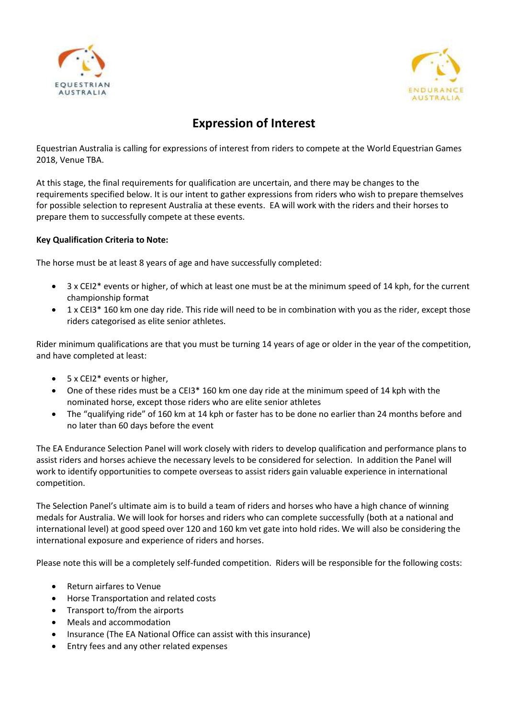



# **Expression of Interest**

Equestrian Australia is calling for expressions of interest from riders to compete at the World Equestrian Games 2018, Venue TBA.

At this stage, the final requirements for qualification are uncertain, and there may be changes to the requirements specified below. It is our intent to gather expressions from riders who wish to prepare themselves for possible selection to represent Australia at these events. EA will work with the riders and their horses to prepare them to successfully compete at these events.

#### **Key Qualification Criteria to Note:**

The horse must be at least 8 years of age and have successfully completed:

- 3 x CEI2\* events or higher, of which at least one must be at the minimum speed of 14 kph, for the current championship format
- 1 x CEI3\* 160 km one day ride. This ride will need to be in combination with you as the rider, except those riders categorised as elite senior athletes.

Rider minimum qualifications are that you must be turning 14 years of age or older in the year of the competition, and have completed at least:

- $\bullet$  5 x CEI2<sup>\*</sup> events or higher.
- One of these rides must be a CEI3\* 160 km one day ride at the minimum speed of 14 kph with the nominated horse, except those riders who are elite senior athletes
- The "qualifying ride" of 160 km at 14 kph or faster has to be done no earlier than 24 months before and no later than 60 days before the event

The EA Endurance Selection Panel will work closely with riders to develop qualification and performance plans to assist riders and horses achieve the necessary levels to be considered for selection. In addition the Panel will work to identify opportunities to compete overseas to assist riders gain valuable experience in international competition.

The Selection Panel's ultimate aim is to build a team of riders and horses who have a high chance of winning medals for Australia. We will look for horses and riders who can complete successfully (both at a national and international level) at good speed over 120 and 160 km vet gate into hold rides. We will also be considering the international exposure and experience of riders and horses.

Please note this will be a completely self-funded competition. Riders will be responsible for the following costs:

- Return airfares to Venue
- Horse Transportation and related costs
- Transport to/from the airports
- Meals and accommodation
- Insurance (The EA National Office can assist with this insurance)
- **•** Entry fees and any other related expenses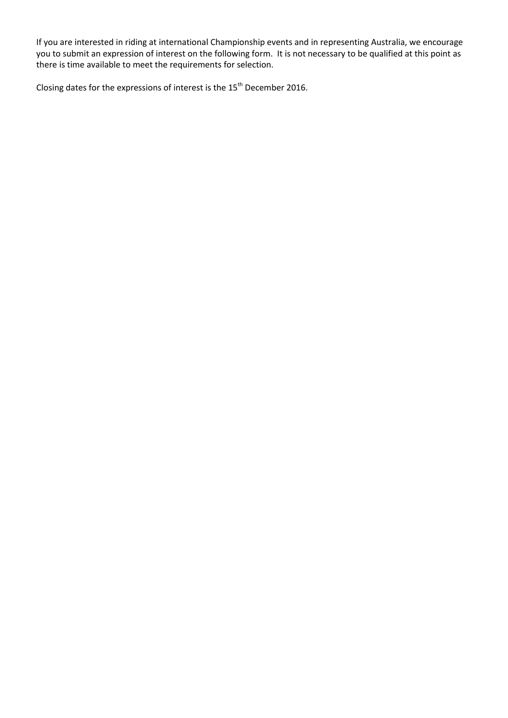If you are interested in riding at international Championship events and in representing Australia, we encourage you to submit an expression of interest on the following form. It is not necessary to be qualified at this point as there is time available to meet the requirements for selection.

Closing dates for the expressions of interest is the 15<sup>th</sup> December 2016.